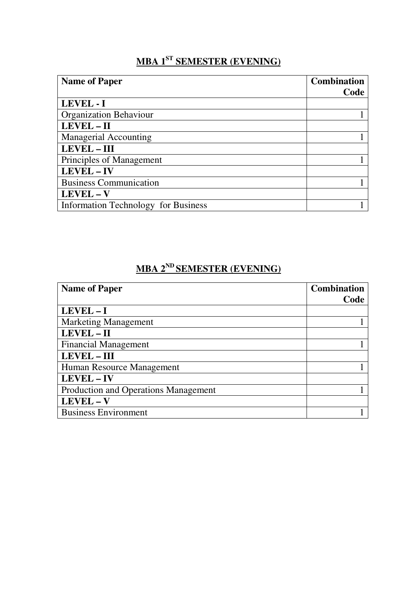# **MBA 1ST SEMESTER (EVENING)**

| <b>Name of Paper</b>                       | <b>Combination</b> |
|--------------------------------------------|--------------------|
|                                            | Code               |
| LEVEL - I                                  |                    |
| <b>Organization Behaviour</b>              |                    |
| LEVEL - II                                 |                    |
| <b>Managerial Accounting</b>               |                    |
| <b>LEVEL - III</b>                         |                    |
| Principles of Management                   |                    |
| LEVEL - IV                                 |                    |
| <b>Business Communication</b>              |                    |
| LEVEL - V                                  |                    |
| <b>Information Technology for Business</b> |                    |

# **MBA 2ND SEMESTER (EVENING)**

| <b>Name of Paper</b>                        | <b>Combination</b> |
|---------------------------------------------|--------------------|
|                                             | Code               |
| LEVEL-I                                     |                    |
| <b>Marketing Management</b>                 |                    |
| LEVEL - II                                  |                    |
| <b>Financial Management</b>                 |                    |
| <b>LEVEL - III</b>                          |                    |
| Human Resource Management                   |                    |
| <b>LEVEL-IV</b>                             |                    |
| <b>Production and Operations Management</b> |                    |
| LEVEL - V                                   |                    |
| <b>Business Environment</b>                 |                    |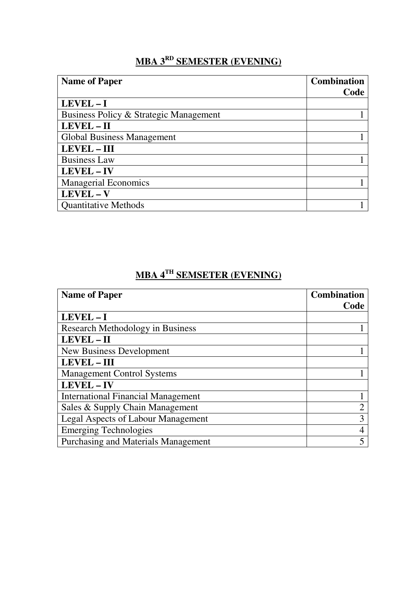### **MBA 3RD SEMESTER (EVENING)**

| <b>Name of Paper</b>                   | <b>Combination</b> |
|----------------------------------------|--------------------|
|                                        | Code               |
| $LEVEL - I$                            |                    |
| Business Policy & Strategic Management |                    |
| LEVEL - II                             |                    |
| Global Business Management             |                    |
| <b>LEVEL-III</b>                       |                    |
| <b>Business Law</b>                    |                    |
| LEVEL - IV                             |                    |
| <b>Managerial Economics</b>            |                    |
| $LEVEL - V$                            |                    |
| <b>Quantitative Methods</b>            |                    |

## **MBA 4TH SEMSETER (EVENING)**

| <b>Name of Paper</b>                       | <b>Combination</b> |
|--------------------------------------------|--------------------|
|                                            | Code               |
| LEVEL-I                                    |                    |
| <b>Research Methodology in Business</b>    |                    |
| LEVEL - II                                 |                    |
| New Business Development                   |                    |
| <b>LEVEL - III</b>                         |                    |
| <b>Management Control Systems</b>          |                    |
| <b>LEVEL - IV</b>                          |                    |
| <b>International Financial Management</b>  |                    |
| Sales & Supply Chain Management            | റ                  |
| <b>Legal Aspects of Labour Management</b>  | 3                  |
| <b>Emerging Technologies</b>               |                    |
| <b>Purchasing and Materials Management</b> |                    |